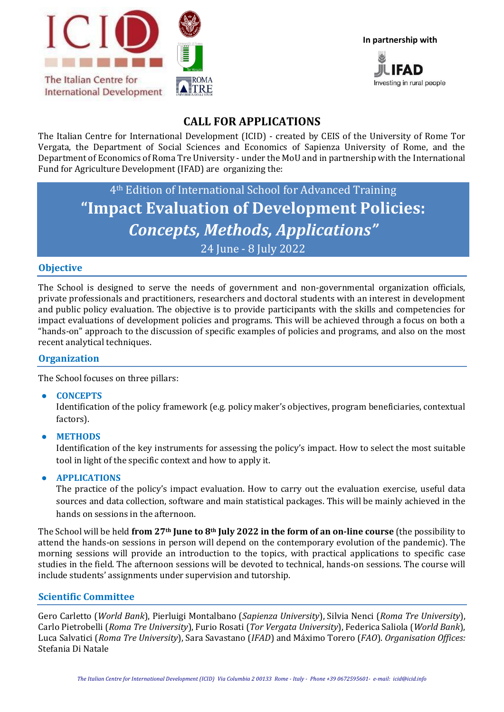



# **CALL FOR APPLICATIONS**

The Italian Centre for International Development (ICID) - created by CEIS of the University of Rome Tor Vergata, the Department of Social Sciences and Economics of Sapienza University of Rome, and the Department of Economics of Roma Tre University - under the MoU and in partnership with the International Fund for Agriculture Development (IFAD) are organizing the:

# 4th Edition of International School for Advanced Training **"Impact Evaluation of Development Policies:**  *Concepts, Methods, Applications"* 24 June - 8 July 2022

## **Objective**

The School is designed to serve the needs of government and non-governmental organization officials, private professionals and practitioners, researchers and doctoral students with an interest in development and public policy evaluation. The objective is to provide participants with the skills and competencies for impact evaluations of development policies and programs. This will be achieved through a focus on both a "hands-on" approach to the discussion of specific examples of policies and programs, and also on the most recent analytical techniques.

#### **Organization**

The School focuses on three pillars:

● **CONCEPTS**

Identification of the policy framework (e.g. policy maker's objectives, program beneficiaries, contextual factors).

● **METHODS**

Identification of the key instruments for assessing the policy's impact. How to select the most suitable tool in light of the specific context and how to apply it.

● **APPLICATIONS**

The practice of the policy's impact evaluation. How to carry out the evaluation exercise, useful data sources and data collection, software and main statistical packages. This will be mainly achieved in the hands on sessions in the afternoon.

The School will be held **from 27th June to 8th July 2022 in the form of an on-line course** (the possibility to attend the hands-on sessions in person will depend on the contemporary evolution of the pandemic). The morning sessions will provide an introduction to the topics, with practical applications to specific case studies in the field. The afternoon sessions will be devoted to technical, hands-on sessions. The course will include students' assignments under supervision and tutorship.

#### **Scientific Committee**

Gero Carletto (*World Bank*), Pierluigi Montalbano (*Sapienza University*), Silvia Nenci (*Roma Tre University*), Carlo Pietrobelli (*Roma Tre University*), Furio Rosati (*Tor Vergata University*), Federica Saliola (*World Bank*), Luca Salvatici (*Roma Tre University*), Sara Savastano (*IFAD*) and Máximo Torero (*FAO*). *Organisation Offices:* Stefania Di Natale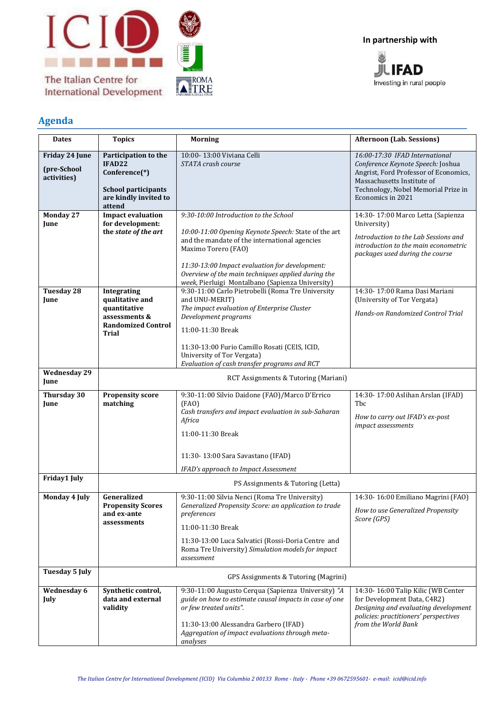

**International Development** 



**In partnership with**



## **Agenda**

| <b>Dates</b>                                 | <b>Topics</b>                                                                                                                | <b>Morning</b>                                                                                                                                                                                                                                                                                                                                     | <b>Afternoon (Lab. Sessions)</b>                                                                                                                                                                       |
|----------------------------------------------|------------------------------------------------------------------------------------------------------------------------------|----------------------------------------------------------------------------------------------------------------------------------------------------------------------------------------------------------------------------------------------------------------------------------------------------------------------------------------------------|--------------------------------------------------------------------------------------------------------------------------------------------------------------------------------------------------------|
| Friday 24 June<br>(pre-School<br>activities) | Participation to the<br>IFAD22<br>Conference <sup>(*)</sup><br><b>School participants</b><br>are kindly invited to<br>attend | 10:00-13:00 Viviana Celli<br>STATA crash course                                                                                                                                                                                                                                                                                                    | 16:00-17:30 IFAD International<br>Conference Keynote Speech: Joshua<br>Angrist, Ford Professor of Economics,<br>Massachusetts Institute of<br>Technology, Nobel Memorial Prize in<br>Economics in 2021 |
| Monday 27<br>June                            | <b>Impact evaluation</b><br>for development:<br>the state of the art                                                         | 9:30-10:00 Introduction to the School<br>10:00-11:00 Opening Keynote Speech: State of the art<br>and the mandate of the international agencies<br>Maximo Torero (FAO)<br>11:30-13:00 Impact evaluation for development:<br>Overview of the main techniques applied during the                                                                      | 14:30-17:00 Marco Letta (Sapienza<br>University)<br>Introduction to the Lab Sessions and<br>introduction to the main econometric<br>packages used during the course                                    |
| <b>Tuesday 28</b><br>June                    | Integrating<br>qualitative and<br>quantitative<br>assessments &<br><b>Randomized Control</b><br><b>Trial</b>                 | week, Pierluigi Montalbano (Sapienza University)<br>9:30-11:00 Carlo Pietrobelli (Roma Tre University<br>and UNU-MERIT)<br>The impact evaluation of Enterprise Cluster<br>Development programs<br>11:00-11:30 Break<br>11:30-13:00 Furio Camillo Rosati (CEIS, ICID,<br>University of Tor Vergata)<br>Evaluation of cash transfer programs and RCT | 14:30-17:00 Rama Dasi Mariani<br>(University of Tor Vergata)<br>Hands-on Randomized Control Trial                                                                                                      |
| <b>Wednesday 29</b><br>June                  | RCT Assignments & Tutoring (Mariani)                                                                                         |                                                                                                                                                                                                                                                                                                                                                    |                                                                                                                                                                                                        |
| Thursday 30<br>June                          | <b>Propensity score</b><br>matching                                                                                          | 9:30-11:00 Silvio Daidone (FAO)/Marco D'Errico<br>(FAO)<br>Cash transfers and impact evaluation in sub-Saharan<br>Africa<br>11:00-11:30 Break<br>11:30-13:00 Sara Savastano (IFAD)                                                                                                                                                                 | 14:30-17:00 Aslihan Arslan (IFAD)<br>Tbc<br>How to carry out IFAD's ex-post<br>impact assessments                                                                                                      |
| Friday1 July                                 |                                                                                                                              | IFAD's approach to Impact Assessment                                                                                                                                                                                                                                                                                                               |                                                                                                                                                                                                        |
| Monday 4 July                                | Generalized<br><b>Propensity Scores</b><br>and ex-ante<br>assessments                                                        | PS Assignments & Tutoring (Letta)<br>9:30-11:00 Silvia Nenci (Roma Tre University)<br>Generalized Propensity Score: an application to trade<br>preferences<br>11:00-11:30 Break<br>11:30-13:00 Luca Salvatici (Rossi-Doria Centre and<br>Roma Tre University) Simulation models for impact<br>assessment                                           | 14:30-16:00 Emiliano Magrini (FAO)<br>How to use Generalized Propensity<br>Score (GPS)                                                                                                                 |
| <b>Tuesday 5 July</b>                        | GPS Assignments & Tutoring (Magrini)                                                                                         |                                                                                                                                                                                                                                                                                                                                                    |                                                                                                                                                                                                        |
| Wednesday 6<br>July                          | Synthetic control,<br>data and external<br>validity                                                                          | 9:30-11:00 Augusto Cerqua (Sapienza University) "A<br>guide on how to estimate causal impacts in case of one<br>or few treated units".<br>11:30-13:00 Alessandra Garbero (IFAD)<br>Aggregation of impact evaluations through meta-<br>analyses                                                                                                     | 14:30-16:00 Talip Kilic (WB Center<br>for Development Data, C4R2)<br>Designing and evaluating development<br>policies: practitioners' perspectives<br>from the World Bank                              |